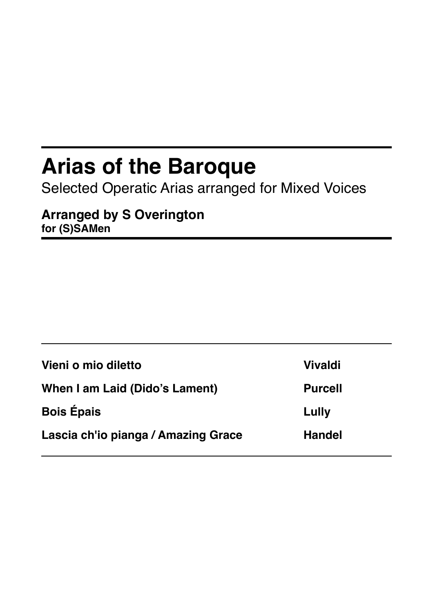## **Arias of the Baroque**

Selected Operatic Arias arranged for Mixed Voices

**Arranged by S Overington for (S)SAMen**

| Vieni o mio diletto                 | <b>Vivaldi</b> |
|-------------------------------------|----------------|
| When I am Laid (Dido's Lament)      | <b>Purcell</b> |
| <b>Bois Épais</b>                   | Lully          |
| Lascia ch'io pianga / Amazing Grace | <b>Handel</b>  |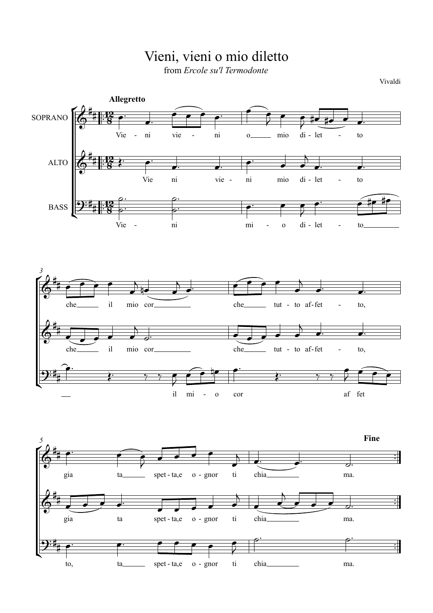

to, ta spet - ta,e o - gnor ti chia ma.

H

 $\phi$ .  $\phi$ .

œ™ œ™ œ œ œ œ œ

¢

 $\overline{9:4}$ #

## Vieni, vieni o mio diletto

from *Ercole su'l Termodonte*

Vivaldi

™ ™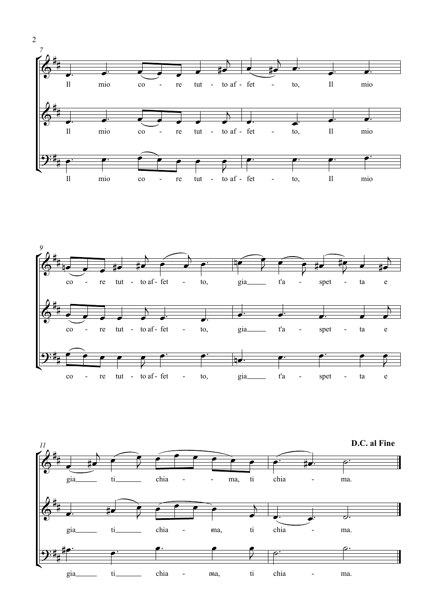



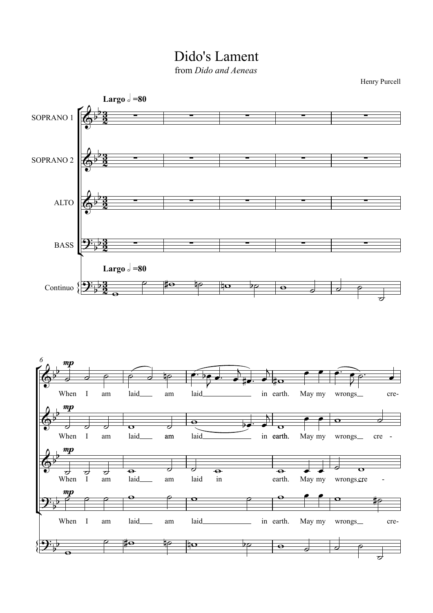Dido's Lament from *Dido and Aeneas*

Henry Purcell

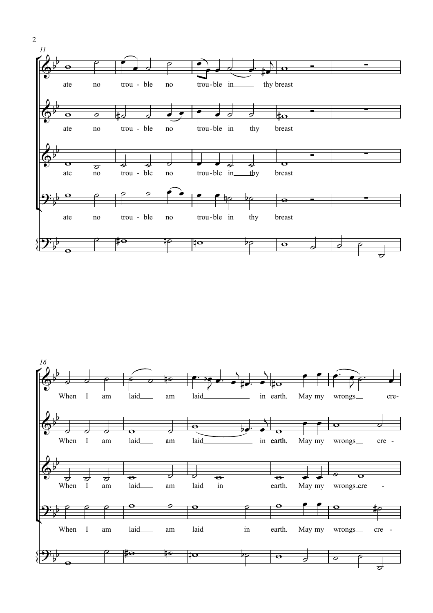

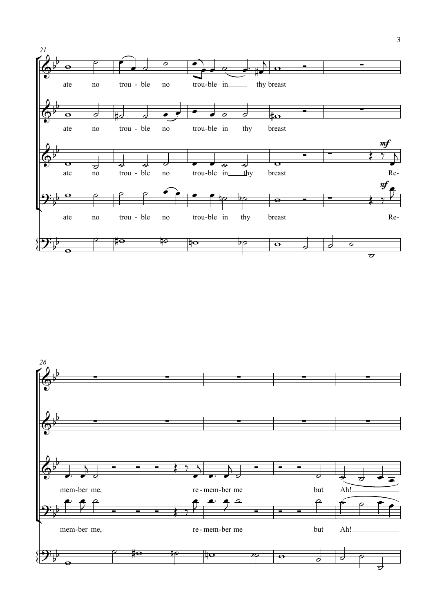

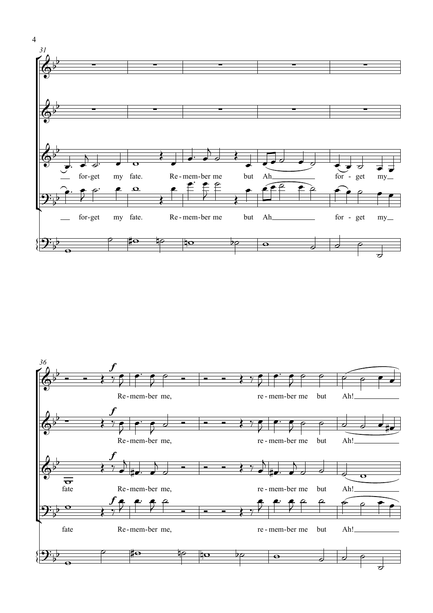

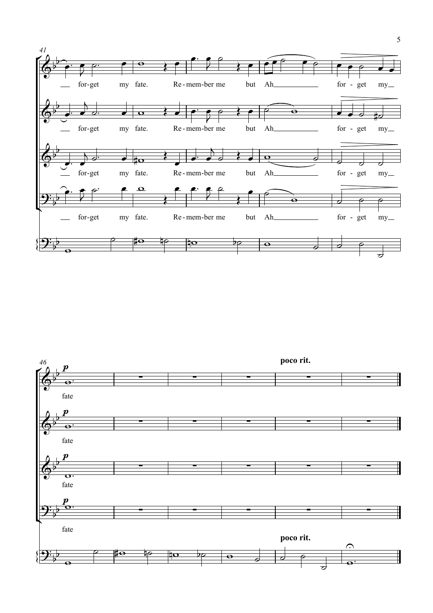

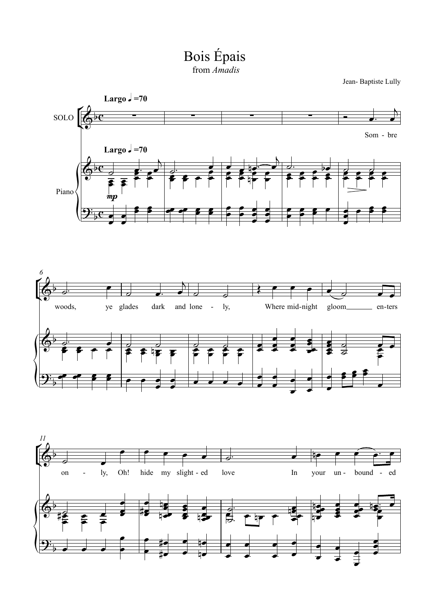Bois Épais

Jean-Baptiste Lully



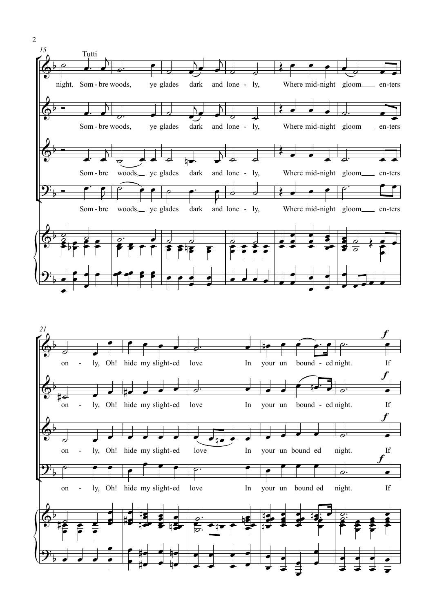

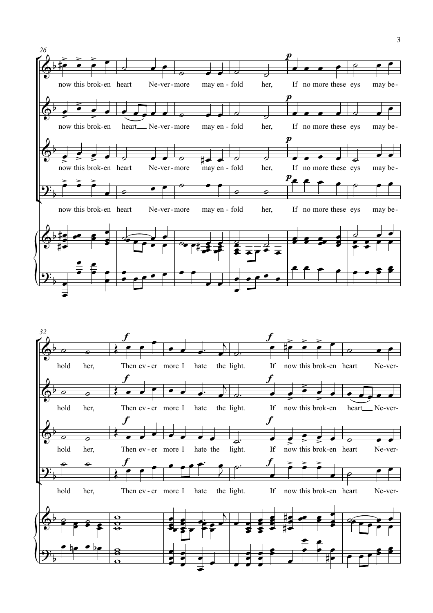

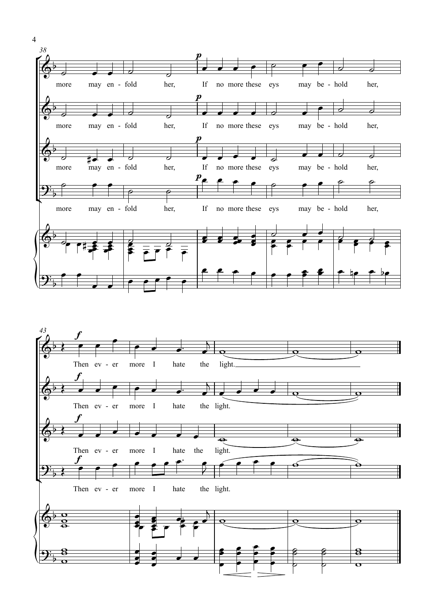

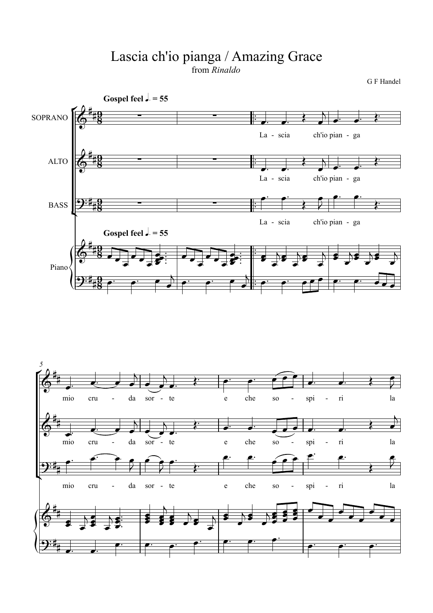## Lascia ch'io pianga / Amazing Grace from *Rinaldo*

G F Handel



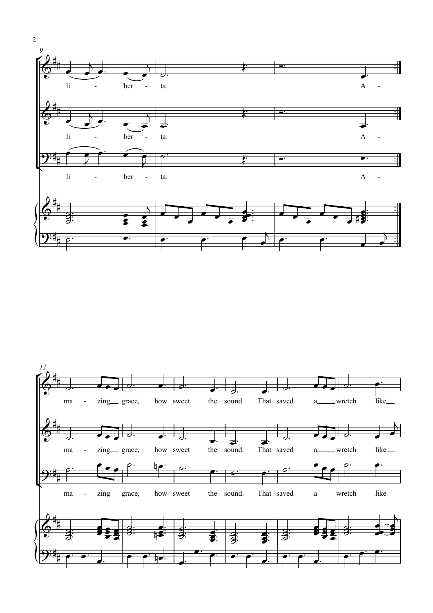



2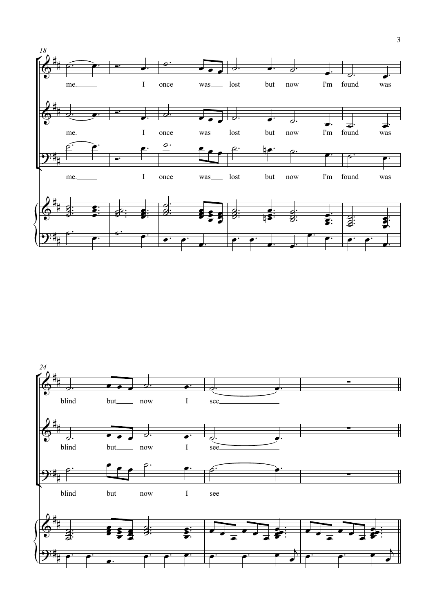